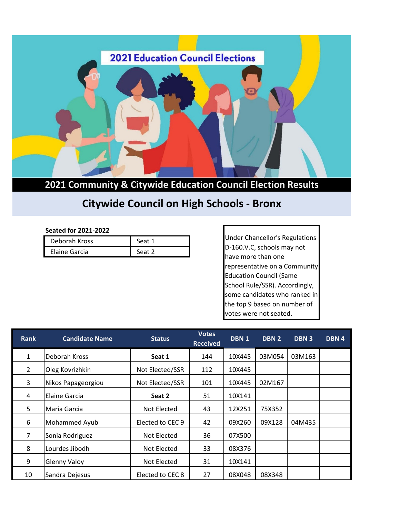

**2021 Community & Citywide Education Council Election Results**

## **Citywide Council on High Schools - Bronx**

## **Seated for 2021-2022**

| Deborah Kross | Seat 1 |
|---------------|--------|
| Elaine Garcia | Seat 2 |

Under Chancellor's Regulations D-160.V.C, schools may not have more than one representative on a Community Education Council (Same School Rule/SSR). Accordingly, some candidates who ranked in the top 9 based on number of votes were not seated.

| <b>Rank</b>    | <b>Candidate Name</b> | <b>Status</b>    | <b>Votes</b><br><b>Received</b> | DBN <sub>1</sub> | DBN <sub>2</sub> | <b>DBN3</b> | DBN 4 |
|----------------|-----------------------|------------------|---------------------------------|------------------|------------------|-------------|-------|
| $\mathbf{1}$   | Deborah Kross         | Seat 1           | 144                             | 10X445           | 03M054           | 03M163      |       |
| $\overline{2}$ | Oleg Kovrizhkin       | Not Elected/SSR  | 112                             | 10X445           |                  |             |       |
| 3              | Nikos Papageorgiou    | Not Elected/SSR  | 101                             | 10X445           | 02M167           |             |       |
| 4              | Elaine Garcia         | Seat 2           | 51                              | 10X141           |                  |             |       |
| 5              | Maria Garcia          | Not Elected      | 43                              | 12X251           | 75X352           |             |       |
| 6              | Mohammed Ayub         | Elected to CEC 9 | 42                              | 09X260           | 09X128           | 04M435      |       |
| 7              | Sonia Rodriguez       | Not Elected      | 36                              | 07X500           |                  |             |       |
| 8              | Lourdes Jibodh        | Not Elected      | 33                              | 08X376           |                  |             |       |
| 9              | <b>Glenny Valoy</b>   | Not Elected      | 31                              | 10X141           |                  |             |       |
| 10             | Sandra Dejesus        | Elected to CEC 8 | 27                              | 08X048           | 08X348           |             |       |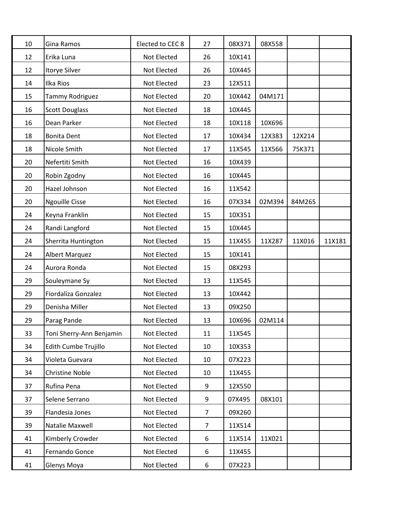| 10 | Gina Ramos               | Elected to CEC 8 | 27             | 08X371 | 08X558 |        |        |
|----|--------------------------|------------------|----------------|--------|--------|--------|--------|
| 12 | Erika Luna               | Not Elected      | 26             | 10X141 |        |        |        |
| 12 | <b>Itorye Silver</b>     | Not Elected      | 26             | 10X445 |        |        |        |
| 14 | Ilka Rios                | Not Elected      | 23             | 12X511 |        |        |        |
| 15 | Tammy Rodriguez          | Not Elected      | 20             | 10X442 | 04M171 |        |        |
| 16 | <b>Scott Douglass</b>    | Not Elected      | 18             | 10X445 |        |        |        |
| 16 | Dean Parker              | Not Elected      | 18             | 10X118 | 10X696 |        |        |
| 18 | <b>Bonita Dent</b>       | Not Elected      | 17             | 10X434 | 12X383 | 12X214 |        |
| 18 | Nicole Smith             | Not Elected      | 17             | 11X545 | 11X566 | 75K371 |        |
| 20 | Nefertiti Smith          | Not Elected      | 16             | 10X439 |        |        |        |
| 20 | Robin Zgodny             | Not Elected      | 16             | 10X445 |        |        |        |
| 20 | Hazel Johnson            | Not Elected      | 16             | 11X542 |        |        |        |
| 20 | <b>Ngouille Cisse</b>    | Not Elected      | 16             | 07X334 | 02M394 | 84M265 |        |
| 24 | Keyna Franklin           | Not Elected      | 15             | 10X351 |        |        |        |
| 24 | Randi Langford           | Not Elected      | 15             | 10X445 |        |        |        |
| 24 | Sherrita Huntington      | Not Elected      | 15             | 11X455 | 11X287 | 11X016 | 11X181 |
| 24 | <b>Albert Marquez</b>    | Not Elected      | 15             | 10X141 |        |        |        |
| 24 | Aurora Ronda             | Not Elected      | 15             | 08X293 |        |        |        |
| 29 | Souleymane Sy            | Not Elected      | 13             | 11X545 |        |        |        |
| 29 | Fiordaliza Gonzalez      | Not Elected      | 13             | 10X442 |        |        |        |
| 29 | Denisha Miller           | Not Elected      | 13             | 09X250 |        |        |        |
| 29 | Parag Pande              | Not Elected      | 13             | 10X696 | 02M114 |        |        |
| 33 | Toni Sherry-Ann Benjamin | Not Elected      | 11             | 11X545 |        |        |        |
| 34 | Edith Cumbe Trujillo     | Not Elected      | 10             | 10X353 |        |        |        |
| 34 | Violeta Guevara          | Not Elected      | 10             | 07X223 |        |        |        |
| 34 | Christine Noble          | Not Elected      | 10             | 11X455 |        |        |        |
| 37 | Rufina Pena              | Not Elected      | 9              | 12X550 |        |        |        |
| 37 | Selene Serrano           | Not Elected      | 9              | 07X495 | 08X101 |        |        |
| 39 | Flandesia Jones          | Not Elected      | $\overline{7}$ | 09X260 |        |        |        |
| 39 | Natalie Maxwell          | Not Elected      | $\overline{7}$ | 11X514 |        |        |        |
| 41 | Kimberly Crowder         | Not Elected      | 6              | 11X514 | 11X021 |        |        |
| 41 | Fernando Gonce           | Not Elected      | 6              | 11X455 |        |        |        |
| 41 | Glenys Moya              | Not Elected      | 6              | 07X223 |        |        |        |